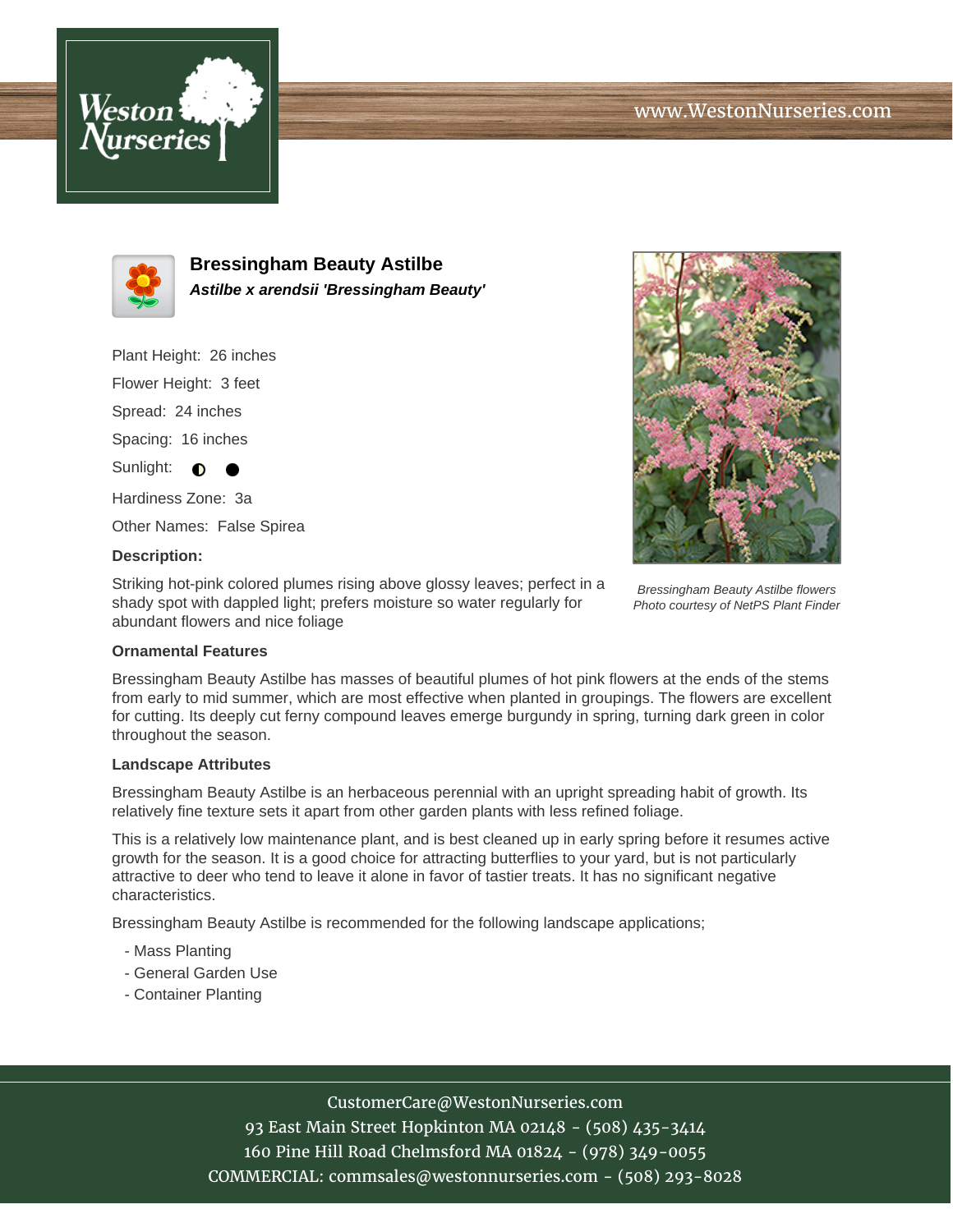



**Bressingham Beauty Astilbe Astilbe x arendsii 'Bressingham Beauty'**

Plant Height: 26 inches

Flower Height: 3 feet

Spread: 24 inches

Spacing: 16 inches

Sunlight:  $\bigcirc$ 

Hardiness Zone: 3a

Other Names: False Spirea

## **Description:**

Striking hot-pink colored plumes rising above glossy leaves; perfect in a shady spot with dappled light; prefers moisture so water regularly for abundant flowers and nice foliage



Bressingham Beauty Astilbe flowers Photo courtesy of NetPS Plant Finder

## **Ornamental Features**

Bressingham Beauty Astilbe has masses of beautiful plumes of hot pink flowers at the ends of the stems from early to mid summer, which are most effective when planted in groupings. The flowers are excellent for cutting. Its deeply cut ferny compound leaves emerge burgundy in spring, turning dark green in color throughout the season.

#### **Landscape Attributes**

Bressingham Beauty Astilbe is an herbaceous perennial with an upright spreading habit of growth. Its relatively fine texture sets it apart from other garden plants with less refined foliage.

This is a relatively low maintenance plant, and is best cleaned up in early spring before it resumes active growth for the season. It is a good choice for attracting butterflies to your yard, but is not particularly attractive to deer who tend to leave it alone in favor of tastier treats. It has no significant negative characteristics.

Bressingham Beauty Astilbe is recommended for the following landscape applications;

- Mass Planting
- General Garden Use
- Container Planting

# CustomerCare@WestonNurseries.com

93 East Main Street Hopkinton MA 02148 - (508) 435-3414 160 Pine Hill Road Chelmsford MA 01824 - (978) 349-0055 COMMERCIAL: commsales@westonnurseries.com - (508) 293-8028